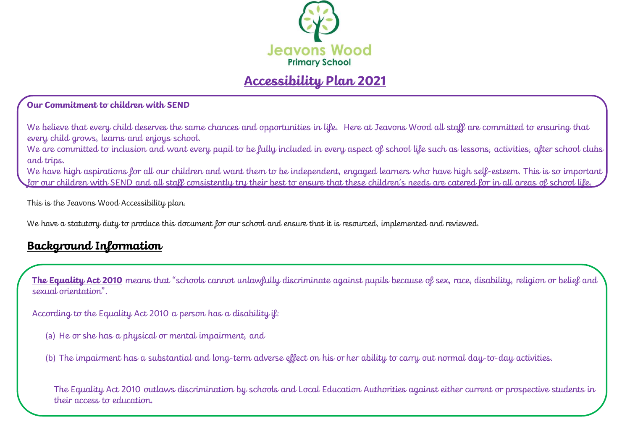

# **Accessibility Plan 2021**

### **Our Commitment to children with SEND**

We believe that every child deserves the same chances and opportunities in life. Here at Jeavons Wood all staff are committed to ensuring that every child grows, learns and enjoys school.

We are committed to inclusion and want every pupil to be fully included in every aspect of school life such as lessons, activities, after school clubs and trips.

We have high aspirations for all our children and want them to be independent, engaged learners who have high self-esteem. This is so important for our children with SEND and all staff consistently try their best to ensure that these children's needs are catered for in all areas of school life.

This is the Jeavons Wood Accessibility plan.

We have a statutory duty to produce this document for our school and ensure that it is resourced, implemented and reviewed.

### **Background Information**

**The Equality Act 2010** means that "schools cannot unlawfully discriminate against pupils because of sex, race, disability, religion or belief and sexual orientation".

According to the Equality Act 2010 a person has a disability if:

(a) He or she has a physical or mental impairment, and

(b) The impairment has a substantial and long-term adverse effect on his or her ability to carry out normal day-to-day activities.

The Equality Act 2010 outlaws discrimination by schools and Local Education Authorities against either current or prospective students in their access to education.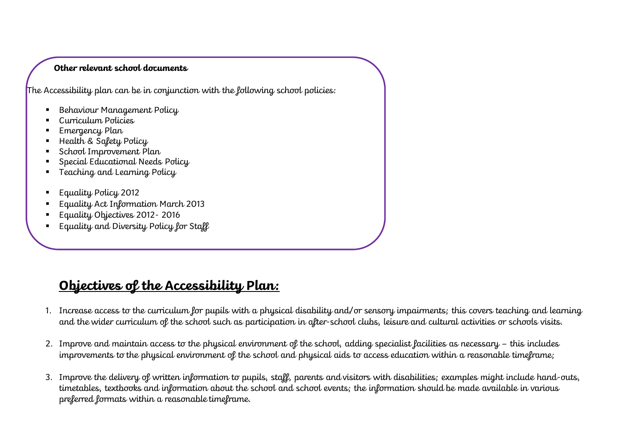### **Other relevant school documents**

The Accessibility plan can be in conjunction with the following school policies:

- Behaviour Management Policy
- Curriculum Policies
- Emergency Plan
- Health & Safety Policy
- School Improvement Plan
- Special Educational Needs Policy
- Teaching and Learning Policy
- Equality Policy 2012
- Equality Act Information March 2013
- Equality Objectives 2012-2016
- **Equality and Diversity Policy for Staff**

## **Objectives of the Accessibility Plan:**

- 1. Increase access to the curriculum for pupils with a physical disability and/or sensory impairments; this covers teaching and learning and the wider curriculum of the school such as participation in after-school clubs, leisure and cultural activities or schools visits.
- 2. Improve and maintain access to the physical environment of the school, adding specialist facilities as necessary this includes improvements to the physical environment of the school and physical aids to access education within a reasonable timeframe;
- 3. Improve the delivery of written information to pupils, staff, parents and visitors with disabilities; examples might include hand-outs, timetables, textbooks and information about the school and school events; the information should be made available in various preferred formats within a reasonable timeframe.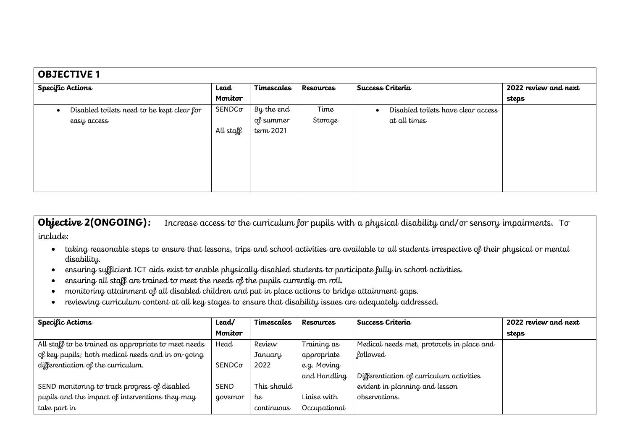| <b>OBJECTIVE 1</b>                                      |               |            |           |                                                  |                      |  |  |
|---------------------------------------------------------|---------------|------------|-----------|--------------------------------------------------|----------------------|--|--|
| Specific Actions                                        | Lead          | Timescales | Resources | Success Criteria                                 | 2022 review and next |  |  |
|                                                         | Monitor       |            |           |                                                  | steps                |  |  |
| Disabled toilets need to be kept clear for<br>$\bullet$ | $SENDC\sigma$ | By the end | Time      | Disabled toilets have clear access<br>$\epsilon$ |                      |  |  |
| easy access                                             |               | of summer  | Storage   | at all times                                     |                      |  |  |
|                                                         | All staff     | term 2021  |           |                                                  |                      |  |  |
|                                                         |               |            |           |                                                  |                      |  |  |
|                                                         |               |            |           |                                                  |                      |  |  |
|                                                         |               |            |           |                                                  |                      |  |  |
|                                                         |               |            |           |                                                  |                      |  |  |
|                                                         |               |            |           |                                                  |                      |  |  |

**Objective 2(ONGOING):** Increase access to the curriculum for pupils with a physical disability and/or sensory impairments. To include:

- taking reasonable steps to ensure that lessons, trips and school activities are available to all students irrespective of their physical or mental disability.
- ensuring sufficient ICT aids exist to enable physically disabled students to participate fully in school activities.
- ensuring all staff are trained to meet the needs of the pupils currently on roll.
- monitoring attainment of all disabled children and put in place actions to bridge attainment gaps.
- reviewing curriculum content at all key stages to ensure that disability issues are adequately addressed.

| Specific Actions                                     | Lead/    | Timescales  | Resources    | Success Criteria                          | 2022 review and next |
|------------------------------------------------------|----------|-------------|--------------|-------------------------------------------|----------------------|
|                                                      | Monitor  |             |              |                                           | steps                |
| All staff to be trained as appropriate to meet needs | Head     | Review      | Training as  | Medical needs met, protocols in place and |                      |
| of key pupils; both medical needs and in on-going    |          | January     | appropriate  | <b>followed</b>                           |                      |
| differentiation of the curriculum.                   | SENDCo   | 2022        | e.g. Moving  |                                           |                      |
|                                                      |          |             | and Handling | Differentiation of curriculum activities  |                      |
| SEND monitoring to track progress of disabled        | SEND     | This should |              | evident in planning and lesson            |                      |
| pupils and the impact of interventions they may      | governor | be          | Liaise with  | observations.                             |                      |
| take part in                                         |          | continuous  | Occupational |                                           |                      |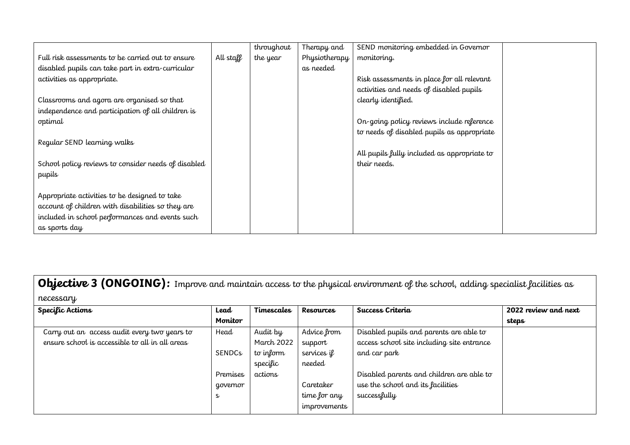|                                                     |           | throughout | Therapy and   | SEND monitoring embedded in Governor        |  |
|-----------------------------------------------------|-----------|------------|---------------|---------------------------------------------|--|
| Full risk assessments to be carried out to ensure   | All staff | the year   | Physiotherapy | monitoring.                                 |  |
| disabled pupils can take part in extra-curricular   |           |            | as needed     |                                             |  |
| activities as appropriate.                          |           |            |               | Risk assessments in place for all relevant  |  |
|                                                     |           |            |               | activities and needs of disabled pupils     |  |
| Classrooms and agora are organised so that          |           |            |               | clearly identified.                         |  |
| independence and participation of all children is   |           |            |               |                                             |  |
| optimal                                             |           |            |               | On-going policy reviews include reference   |  |
|                                                     |           |            |               | to needs of disabled pupils as appropriate  |  |
| Regular SEND learning walks                         |           |            |               |                                             |  |
|                                                     |           |            |               | All pupils fully included as appropriate to |  |
| School policy reviews to consider needs of disabled |           |            |               | their needs.                                |  |
| pupils                                              |           |            |               |                                             |  |
|                                                     |           |            |               |                                             |  |
| Appropriate activities to be designed to take       |           |            |               |                                             |  |
| account of children with disabilities so they are   |           |            |               |                                             |  |
| included in school performances and events such     |           |            |               |                                             |  |
| as sports day                                       |           |            |               |                                             |  |

**Objective 3 (ONGOING):** Improve and maintain access to the physical environment of the school, adding specialist facilities as necessary

| $\sigma$<br>Specific Actions                    | Lead          | Timescales | Resources    | Success Criteria                           | 2022 review and next |
|-------------------------------------------------|---------------|------------|--------------|--------------------------------------------|----------------------|
|                                                 | Monitor       |            |              |                                            | steps                |
| Carry out an access audit every two years to    | Head          | Audit by   | Advice from  | Disabled pupils and parents are able to    |                      |
| ensure school is accessible to all in all areas |               | March 2022 | support      | access school site including site entrance |                      |
|                                                 | <b>SENDCs</b> | to inform  | services if  | and car park                               |                      |
|                                                 |               | specific   | needed       |                                            |                      |
|                                                 | Premises      | actions    |              | Disabled parents and children are able to  |                      |
|                                                 | governor      |            | Caretaker    | use the school and its facilities          |                      |
|                                                 | $\mathsf{s}$  |            | time for any | successfully                               |                      |
|                                                 |               |            | improvements |                                            |                      |